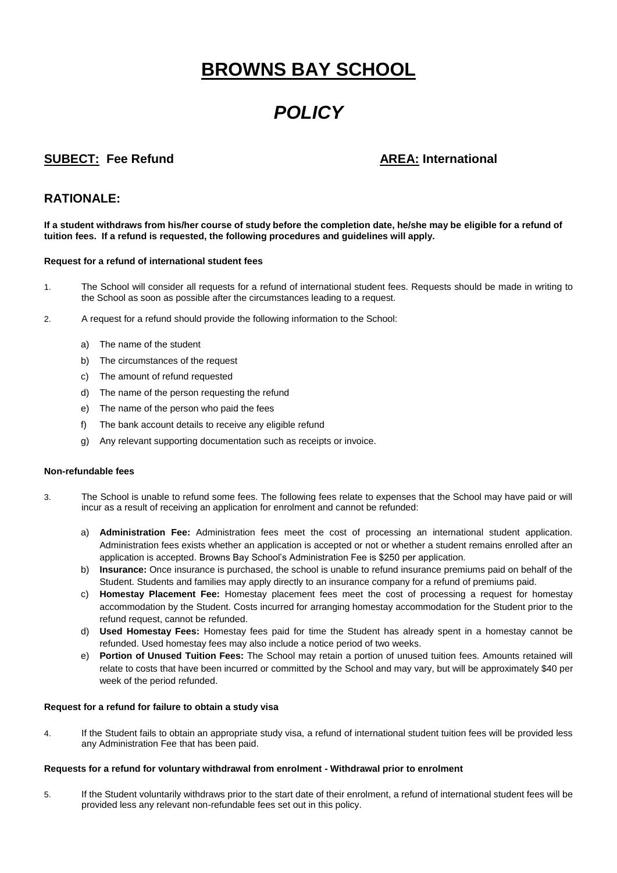# **BROWNS BAY SCHOOL**

# *POLICY*

## **SUBECT: Fee Refund AREA: International**

### **RATIONALE:**

**If a student withdraws from his/her course of study before the completion date, he/she may be eligible for a refund of tuition fees. If a refund is requested, the following procedures and guidelines will apply.** 

### **Request for a refund of international student fees**

- 1. The School will consider all requests for a refund of international student fees. Requests should be made in writing to the School as soon as possible after the circumstances leading to a request.
- 2. A request for a refund should provide the following information to the School:
	- a) The name of the student
	- b) The circumstances of the request
	- c) The amount of refund requested
	- d) The name of the person requesting the refund
	- e) The name of the person who paid the fees
	- f) The bank account details to receive any eligible refund
	- g) Any relevant supporting documentation such as receipts or invoice.

#### **Non-refundable fees**

- 3. The School is unable to refund some fees. The following fees relate to expenses that the School may have paid or will incur as a result of receiving an application for enrolment and cannot be refunded:
	- a) **Administration Fee:** Administration fees meet the cost of processing an international student application. Administration fees exists whether an application is accepted or not or whether a student remains enrolled after an application is accepted. Browns Bay School's Administration Fee is \$250 per application.
	- b) **Insurance:** Once insurance is purchased, the school is unable to refund insurance premiums paid on behalf of the Student. Students and families may apply directly to an insurance company for a refund of premiums paid.
	- c) **Homestay Placement Fee:** Homestay placement fees meet the cost of processing a request for homestay accommodation by the Student. Costs incurred for arranging homestay accommodation for the Student prior to the refund request, cannot be refunded.
	- d) **Used Homestay Fees:** Homestay fees paid for time the Student has already spent in a homestay cannot be refunded. Used homestay fees may also include a notice period of two weeks.
	- e) **Portion of Unused Tuition Fees:** The School may retain a portion of unused tuition fees. Amounts retained will relate to costs that have been incurred or committed by the School and may vary, but will be approximately \$40 per week of the period refunded.

#### **Request for a refund for failure to obtain a study visa**

4. If the Student fails to obtain an appropriate study visa, a refund of international student tuition fees will be provided less any Administration Fee that has been paid.

#### **Requests for a refund for voluntary withdrawal from enrolment - Withdrawal prior to enrolment**

5. If the Student voluntarily withdraws prior to the start date of their enrolment, a refund of international student fees will be provided less any relevant non-refundable fees set out in this policy.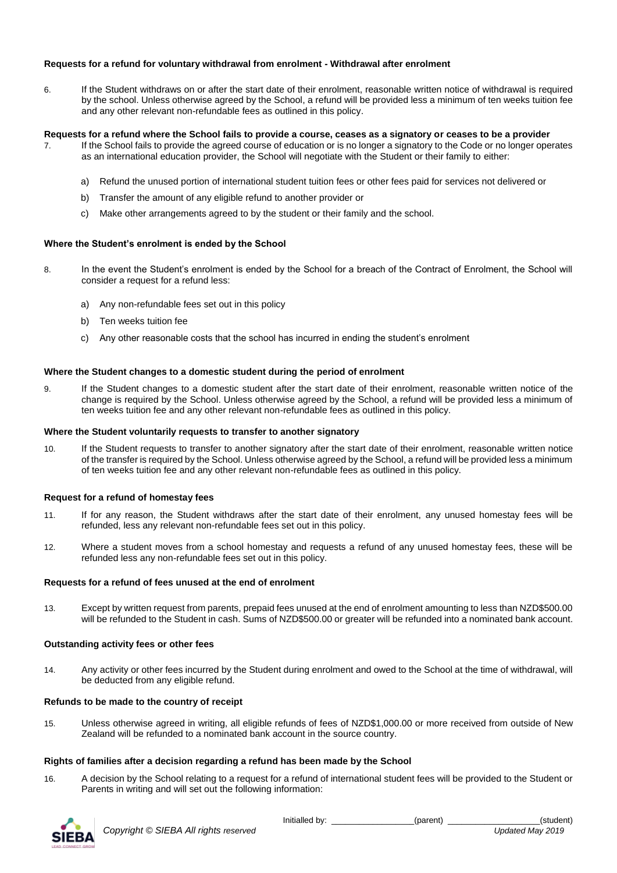### **Requests for a refund for voluntary withdrawal from enrolment - Withdrawal after enrolment**

6. If the Student withdraws on or after the start date of their enrolment, reasonable written notice of withdrawal is required by the school. Unless otherwise agreed by the School, a refund will be provided less a minimum of ten weeks tuition fee and any other relevant non-refundable fees as outlined in this policy.

#### **Requests for a refund where the School fails to provide a course, ceases as a signatory or ceases to be a provider**

- 7. If the School fails to provide the agreed course of education or is no longer a signatory to the Code or no longer operates as an international education provider, the School will negotiate with the Student or their family to either:
	- a) Refund the unused portion of international student tuition fees or other fees paid for services not delivered or
	- b) Transfer the amount of any eligible refund to another provider or
	- c) Make other arrangements agreed to by the student or their family and the school.

#### **Where the Student's enrolment is ended by the School**

- 8. In the event the Student's enrolment is ended by the School for a breach of the Contract of Enrolment, the School will consider a request for a refund less:
	- a) Any non-refundable fees set out in this policy
	- b) Ten weeks tuition fee
	- c) Any other reasonable costs that the school has incurred in ending the student's enrolment

#### **Where the Student changes to a domestic student during the period of enrolment**

9. If the Student changes to a domestic student after the start date of their enrolment, reasonable written notice of the change is required by the School. Unless otherwise agreed by the School, a refund will be provided less a minimum of ten weeks tuition fee and any other relevant non-refundable fees as outlined in this policy.

#### **Where the Student voluntarily requests to transfer to another signatory**

10. If the Student requests to transfer to another signatory after the start date of their enrolment, reasonable written notice of the transfer is required by the School. Unless otherwise agreed by the School, a refund will be provided less a minimum of ten weeks tuition fee and any other relevant non-refundable fees as outlined in this policy.

#### **Request for a refund of homestay fees**

- 11. If for any reason, the Student withdraws after the start date of their enrolment, any unused homestay fees will be refunded, less any relevant non-refundable fees set out in this policy.
- 12. Where a student moves from a school homestay and requests a refund of any unused homestay fees, these will be refunded less any non-refundable fees set out in this policy.

#### **Requests for a refund of fees unused at the end of enrolment**

13. Except by written request from parents, prepaid fees unused at the end of enrolment amounting to less than NZD\$500.00 will be refunded to the Student in cash. Sums of NZD\$500.00 or greater will be refunded into a nominated bank account.

#### **Outstanding activity fees or other fees**

14. Any activity or other fees incurred by the Student during enrolment and owed to the School at the time of withdrawal, will be deducted from any eligible refund.

#### **Refunds to be made to the country of receipt**

15. Unless otherwise agreed in writing, all eligible refunds of fees of NZD\$1,000.00 or more received from outside of New Zealand will be refunded to a nominated bank account in the source country.

#### **Rights of families after a decision regarding a refund has been made by the School**

16. A decision by the School relating to a request for a refund of international student fees will be provided to the Student or Parents in writing and will set out the following information: